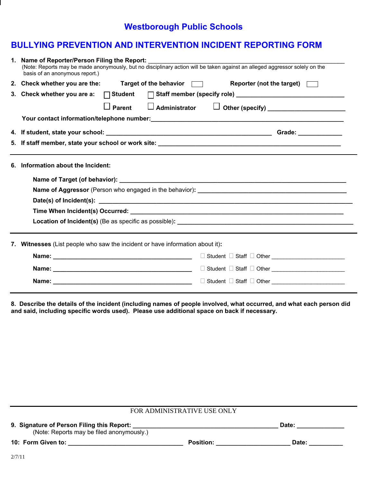## **Westborough Public Schools**

## **BULLYING PREVENTION AND INTERVENTION INCIDENT REPORTING FORM**

|    | 1. Name of Reporter/Person Filing the Report:<br>(Note: Reports may be made anonymously, but no disciplinary action will be taken against an alleged aggressor solely on the<br>basis of an anonymous report.) |  |  |  |  |
|----|----------------------------------------------------------------------------------------------------------------------------------------------------------------------------------------------------------------|--|--|--|--|
|    | 2. Check whether you are the: Target of the behavior $\Box$<br>Reporter (not the target)                                                                                                                       |  |  |  |  |
|    | 3. Check whether you are a: $\Box$ Student                                                                                                                                                                     |  |  |  |  |
|    | Parent $\Box$ Administrator $\Box$ Other (specify) _____________________<br>$\perp$                                                                                                                            |  |  |  |  |
|    |                                                                                                                                                                                                                |  |  |  |  |
|    |                                                                                                                                                                                                                |  |  |  |  |
|    |                                                                                                                                                                                                                |  |  |  |  |
| 6. | <u> 1980 - Johann Barn, amerikan personal (</u><br>Information about the Incident:                                                                                                                             |  |  |  |  |
|    |                                                                                                                                                                                                                |  |  |  |  |
|    |                                                                                                                                                                                                                |  |  |  |  |
|    |                                                                                                                                                                                                                |  |  |  |  |
|    |                                                                                                                                                                                                                |  |  |  |  |
|    |                                                                                                                                                                                                                |  |  |  |  |
|    | 7. Witnesses (List people who saw the incident or have information about it):                                                                                                                                  |  |  |  |  |
|    | □ Student □ Staff □ Other <u>■ National Student ■</u>                                                                                                                                                          |  |  |  |  |
|    |                                                                                                                                                                                                                |  |  |  |  |
|    |                                                                                                                                                                                                                |  |  |  |  |

**8. Describe the details of the incident (including names of people involved, what occurred, and what each person did**  and said, including specific words used). Please use additional space on back if necessary.

| FOR ADMINISTRATIVE USE ONLY                                                             |                  |       |  |  |  |  |  |
|-----------------------------------------------------------------------------------------|------------------|-------|--|--|--|--|--|
| 9. Signature of Person Filing this Report:<br>(Note: Reports may be filed anonymously.) |                  | Date: |  |  |  |  |  |
| 10: Form Given to:                                                                      | <b>Position:</b> | Date: |  |  |  |  |  |
| 2/7/11                                                                                  |                  |       |  |  |  |  |  |